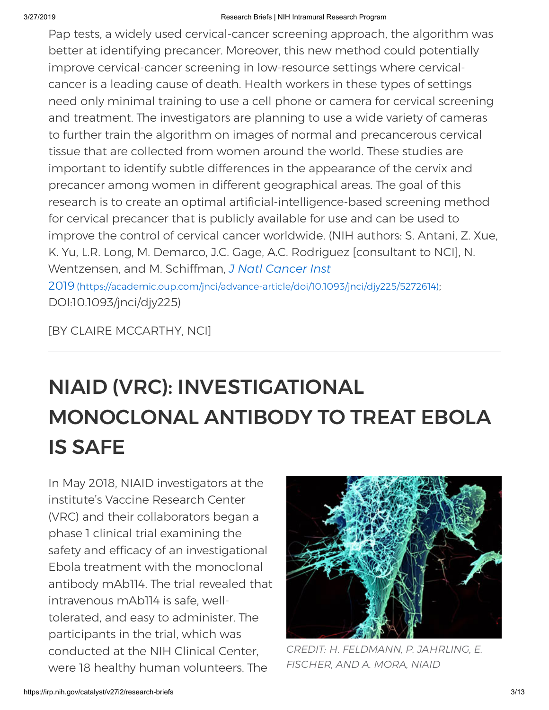Pap tests, a widely used cervical-cancer screening approach, the algorithm was better at identifying precancer. Moreover, this new method could potentially improve cervical-cancer screening in low-resource settings where cervicalcancer is a leading cause of death. Health workers in these types of settings need only minimal training to use a cell phone or camera for cervical screening and treatment. The investigators are planning to use a wide variety of cameras to further train the algorithm on images of normal and precancerous cervical tissue that are collected from women around the world. These studies are important to identify subtle differences in the appearance of the cervix and precancer among women in different geographical areas. The goal of this research is to create an optimal artificial-intelligence-based screening method for cervical precancer that is publicly available for use and can be used to improve the control of cervical cancer worldwide. (NIH authors: S. Antani, Z. Xue, K. Yu, L.R. Long, M. Demarco, J.C. Gage, A.C. Rodriguez [consultant to NCI], N. Wentzensen, and M. Schiffman, *J Natl Cancer Inst* 2019 [\(https://academic.oup.com/jnci/advance-article/doi/10.1093/jnci/djy225/5272614\)](https://academic.oup.com/jnci/advance-article/doi/10.1093/jnci/djy225/5272614); DOI:10.1093/jnci/djy225)

[BY CLAIRE MCCARTHY, NCI]

## NIAID (VRC): INVESTIGATIONAL MONOCLONAL ANTIBODY TO TREAT EBOLA IS SAFE

In May 2018, NIAID investigators at the institute's Vaccine Research Center (VRC) and their collaborators began a phase 1 clinical trial examining the safety and efficacy of an investigational Ebola treatment with the monoclonal antibody mAb114. The trial revealed that intravenous mAb114 is safe, welltolerated, and easy to administer. The participants in the trial, which was conducted at the NIH Clinical Center, were 18 healthy human volunteers. The



*CREDIT: H. FELDMANN, P. JAHRLING, E. FISCHER, AND A. MORA, NIAID*